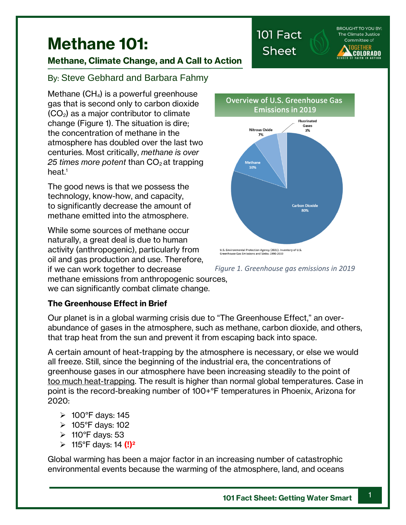**BROUGHT TO YOU BY:** The Climate Justice Committee of **OGETHER** COLORADO

# **Methane 101:**

# **Methane, Climate Change, and A Call to Action**

# By: Steve Gebhard and Barbara Fahmy

Methane (CH4) is a powerful greenhouse gas that is second only to carbon dioxide  $(CO<sub>2</sub>)$  as a major contributor to climate change [\(Figure 1\)](#page-0-0). The situation is dire; the concentration of methane in the atmosphere has doubled over the last two centuries. Most critically, *methane is over*  25 times more potent than  $CO<sub>2</sub>$  at trapping heat.<sup>1</sup>

The good news is that we possess the technology, know-how, and capacity, to significantly decrease the amount of methane emitted into the atmosphere.

While some sources of methane occur naturally, a great deal is due to human activity (anthropogenic), particularly from oil and gas production and use. Therefore, if we can work together to decrease



## **The Greenhouse Effect in Brief**

Our planet is in a global warming crisis due to "The Greenhouse Effect," an overabundance of gases in the atmosphere, such as methane, carbon dioxide, and others, that trap heat from the sun and prevent it from escaping back into space.

A certain amount of heat-trapping by the atmosphere is necessary, or else we would all freeze. Still, since the beginning of the industrial era, the concentrations of greenhouse gases in our atmosphere have been increasing steadily to the point of too much heat-trapping. The result is higher than normal global temperatures. Case in point is the record-breaking number of 100+°F temperatures in Phoenix, Arizona for 2020:

- ➢ 100°F days: 145
- ➢ 105°F days: 102
- $\geqslant$  110°F days: 53
- ➢ 115°F days: 14 **(!)<sup>2</sup>**

Global warming has been a major factor in an increasing number of catastrophic environmental events because the warming of the atmosphere, land, and oceans

Overview of U.S. Greenhouse Gas **Emissions in 2019** 

101 Fact

**Sheet** 



<span id="page-0-0"></span>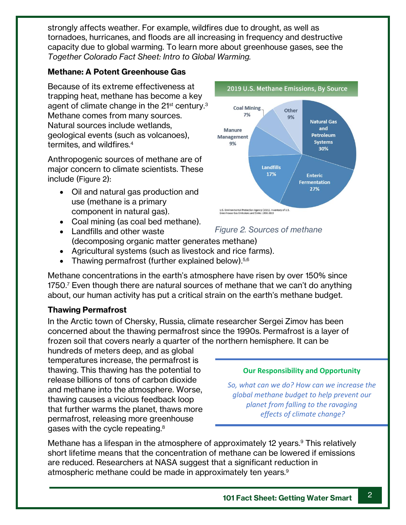strongly affects weather. For example, wildfires due to drought, as well as tornadoes, hurricanes, and floods are all increasing in frequency and destructive capacity due to global warming. To learn more about greenhouse gases, see the *Together Colorado Fact Sheet: Intro to Global Warming.* 

## **Methane: A Potent Greenhouse Gas**

Because of its extreme effectiveness at trapping heat, methane has become a key agent of climate change in the 21<sup>st</sup> century.<sup>3</sup> Methane comes from many sources. Natural sources include wetlands, geological events (such as volcanoes), termites, and wildfires.<sup>4</sup>

Anthropogenic sources of methane are of major concern to climate scientists. These include ([Figure 2](#page-1-0)):

- Oil and natural gas production and use (methane is a primary component in natural gas).
- Coal mining (as coal bed methane).
- Landfills and other waste (decomposing organic matter generates methane)
- Agricultural systems (such as livestock and rice farms).
- Thawing permafrost (further explained below).<sup>5,6</sup>

Methane concentrations in the earth's atmosphere have risen by over 150% since 1750.<sup>7</sup> Even though there are natural sources of methane that we can't do anything about, our human activity has put a critical strain on the earth's methane budget.

## **Thawing Permafrost**

In the Arctic town of Chersky, Russia, climate researcher Sergei Zimov has been concerned about the thawing permafrost since the 1990s. Permafrost is a layer of frozen soil that covers nearly a quarter of the northern hemisphere. It can be

hundreds of meters deep, and as global temperatures increase, the permafrost is thawing. This thawing has the potential to release billions of tons of carbon dioxide and methane into the atmosphere. Worse, thawing causes a vicious feedback loop that further warms the planet, thaws more permafrost, releasing more greenhouse gases with the cycle repeating. $^8$ 



## <span id="page-1-0"></span>*Figure 2. Sources of methane*

### **Our Responsibility and Opportunity**

*So, what can we do? How can we increase the global methane budget to help prevent our planet from falling to the ravaging effects of climate change?*

Methane has a lifespan in the atmosphere of approximately 12 years. <sup>9</sup> This relatively short lifetime means that the concentration of methane can be lowered if emissions are reduced. Researchers at NASA suggest that a significant reduction in atmospheric methane could be made in approximately ten years.<sup>9</sup>